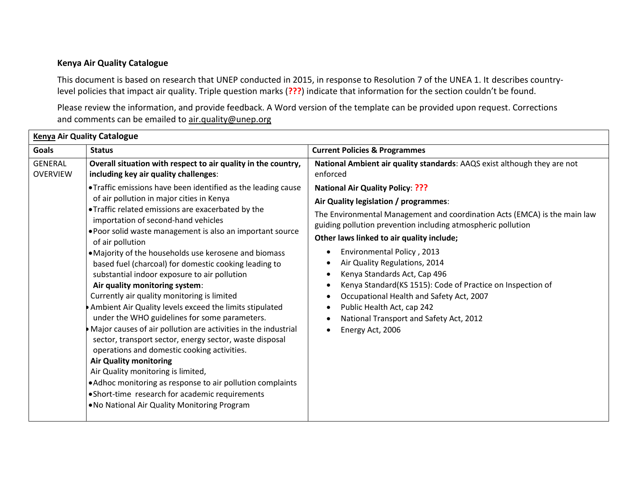## **Kenya Air Quality Catalogue**

This document is based on research that UNEP conducted in 2015, in response to Resolution 7 of the UNEA 1. It describes countrylevel policies that impact air quality. Triple question marks (**???**) indicate that information for the section couldn't be found.

Please review the information, and provide feedback. A Word version of the template can be provided upon request. Corrections and comments can be emailed to [air.quality@unep.org](mailto:air.quality@unep.org)

| <b>Kenya Air Quality Catalogue</b> |                                                                                                                                                                                                                                                                                                                                                                                                                                                                                                                                                                                                                                                                                                                                                                   |                                                                                                                                                                                                                                                                                                                                                                                                                                                                                                                                                                                                                                                                                                                                 |  |  |
|------------------------------------|-------------------------------------------------------------------------------------------------------------------------------------------------------------------------------------------------------------------------------------------------------------------------------------------------------------------------------------------------------------------------------------------------------------------------------------------------------------------------------------------------------------------------------------------------------------------------------------------------------------------------------------------------------------------------------------------------------------------------------------------------------------------|---------------------------------------------------------------------------------------------------------------------------------------------------------------------------------------------------------------------------------------------------------------------------------------------------------------------------------------------------------------------------------------------------------------------------------------------------------------------------------------------------------------------------------------------------------------------------------------------------------------------------------------------------------------------------------------------------------------------------------|--|--|
| <b>Goals</b>                       | <b>Status</b>                                                                                                                                                                                                                                                                                                                                                                                                                                                                                                                                                                                                                                                                                                                                                     | <b>Current Policies &amp; Programmes</b>                                                                                                                                                                                                                                                                                                                                                                                                                                                                                                                                                                                                                                                                                        |  |  |
| <b>GENERAL</b><br><b>OVERVIEW</b>  | Overall situation with respect to air quality in the country,<br>including key air quality challenges:<br>• Traffic emissions have been identified as the leading cause<br>of air pollution in major cities in Kenya<br>. Traffic related emissions are exacerbated by the<br>importation of second-hand vehicles<br>. Poor solid waste management is also an important source<br>of air pollution<br>• Majority of the households use kerosene and biomass<br>based fuel (charcoal) for domestic cooking leading to<br>substantial indoor exposure to air pollution<br>Air quality monitoring system:<br>Currently air quality monitoring is limited<br>Ambient Air Quality levels exceed the limits stipulated<br>under the WHO guidelines for some parameters. | National Ambient air quality standards: AAQS exist although they are not<br>enforced<br><b>National Air Quality Policy: ???</b><br>Air Quality legislation / programmes:<br>The Environmental Management and coordination Acts (EMCA) is the main law<br>guiding pollution prevention including atmospheric pollution<br>Other laws linked to air quality include;<br>Environmental Policy, 2013<br>$\bullet$<br>Air Quality Regulations, 2014<br>٠<br>Kenya Standards Act, Cap 496<br>٠<br>Kenya Standard(KS 1515): Code of Practice on Inspection of<br>$\bullet$<br>Occupational Health and Safety Act, 2007<br>$\bullet$<br>Public Health Act, cap 242<br>$\bullet$<br>National Transport and Safety Act, 2012<br>$\bullet$ |  |  |
|                                    | Major causes of air pollution are activities in the industrial<br>sector, transport sector, energy sector, waste disposal<br>operations and domestic cooking activities.<br><b>Air Quality monitoring</b><br>Air Quality monitoring is limited,<br>. Adhoc monitoring as response to air pollution complaints<br>• Short-time research for academic requirements<br>. No National Air Quality Monitoring Program                                                                                                                                                                                                                                                                                                                                                  | Energy Act, 2006<br>$\bullet$                                                                                                                                                                                                                                                                                                                                                                                                                                                                                                                                                                                                                                                                                                   |  |  |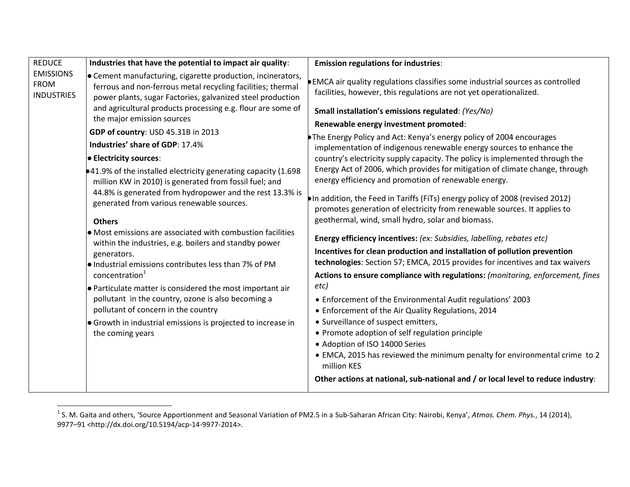| <b>REDUCE</b><br><b>EMISSIONS</b><br><b>FROM</b><br><b>INDUSTRIES</b> | Industries that have the potential to impact air quality:                                                                                                                                                                                                                             | <b>Emission regulations for industries:</b>                                                                                                                                                                                                                                                                                                       |
|-----------------------------------------------------------------------|---------------------------------------------------------------------------------------------------------------------------------------------------------------------------------------------------------------------------------------------------------------------------------------|---------------------------------------------------------------------------------------------------------------------------------------------------------------------------------------------------------------------------------------------------------------------------------------------------------------------------------------------------|
|                                                                       | • Cement manufacturing, cigarette production, incinerators,<br>ferrous and non-ferrous metal recycling facilities; thermal<br>power plants, sugar Factories, galvanized steel production<br>and agricultural products processing e.g. flour are some of<br>the major emission sources | EMCA air quality regulations classifies some industrial sources as controlled<br>facilities, however, this regulations are not yet operationalized.<br>Small installation's emissions regulated: (Yes/No)                                                                                                                                         |
|                                                                       | GDP of country: USD 45.31B in 2013                                                                                                                                                                                                                                                    | Renewable energy investment promoted:                                                                                                                                                                                                                                                                                                             |
|                                                                       | Industries' share of GDP: 17.4%                                                                                                                                                                                                                                                       | The Energy Policy and Act: Kenya's energy policy of 2004 encourages<br>implementation of indigenous renewable energy sources to enhance the                                                                                                                                                                                                       |
|                                                                       | <b>Electricity sources:</b>                                                                                                                                                                                                                                                           | country's electricity supply capacity. The policy is implemented through the                                                                                                                                                                                                                                                                      |
|                                                                       | •41.9% of the installed electricity generating capacity (1.698)<br>million KW in 2010) is generated from fossil fuel; and                                                                                                                                                             | Energy Act of 2006, which provides for mitigation of climate change, through<br>energy efficiency and promotion of renewable energy.                                                                                                                                                                                                              |
|                                                                       | 44.8% is generated from hydropower and the rest 13.3% is<br>generated from various renewable sources.                                                                                                                                                                                 | In addition, the Feed in Tariffs (FiTs) energy policy of 2008 (revised 2012)<br>promotes generation of electricity from renewable sources. It applies to                                                                                                                                                                                          |
|                                                                       | <b>Others</b>                                                                                                                                                                                                                                                                         | geothermal, wind, small hydro, solar and biomass.                                                                                                                                                                                                                                                                                                 |
|                                                                       | • Most emissions are associated with combustion facilities<br>within the industries, e.g. boilers and standby power                                                                                                                                                                   | Energy efficiency incentives: (ex: Subsidies, labelling, rebates etc)                                                                                                                                                                                                                                                                             |
|                                                                       | generators.<br>$\bullet$ Industrial emissions contributes less than 7% of PM                                                                                                                                                                                                          | Incentives for clean production and installation of pollution prevention<br>technologies: Section 57; EMCA, 2015 provides for incentives and tax waivers                                                                                                                                                                                          |
|                                                                       | concentration <sup>1</sup>                                                                                                                                                                                                                                                            | Actions to ensure compliance with regulations: (monitoring, enforcement, fines                                                                                                                                                                                                                                                                    |
|                                                                       | $\bullet$ Particulate matter is considered the most important air<br>pollutant in the country, ozone is also becoming a<br>pollutant of concern in the country<br>• Growth in industrial emissions is projected to increase in<br>the coming years                                    | etc)<br>• Enforcement of the Environmental Audit regulations' 2003<br>• Enforcement of the Air Quality Regulations, 2014<br>• Surveillance of suspect emitters,<br>• Promote adoption of self regulation principle<br>• Adoption of ISO 14000 Series<br>• EMCA, 2015 has reviewed the minimum penalty for environmental crime to 2<br>million KES |
|                                                                       |                                                                                                                                                                                                                                                                                       | Other actions at national, sub-national and / or local level to reduce industry:                                                                                                                                                                                                                                                                  |

 1 S. M. Gaita and others, 'Source Apportionment and Seasonal Variation of PM2.5 in a Sub-Saharan African City: Nairobi, Kenya', *Atmos. Chem. Phys.*, 14 (2014), 9977–91 <http://dx.doi.org/10.5194/acp-14-9977-2014>.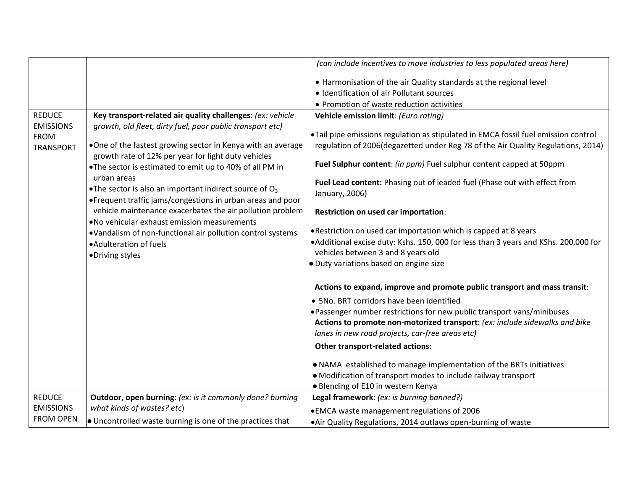|                                   |                                                                                                                                          | (can include incentives to move industries to less populated areas here)                                                  |
|-----------------------------------|------------------------------------------------------------------------------------------------------------------------------------------|---------------------------------------------------------------------------------------------------------------------------|
|                                   |                                                                                                                                          | • Harmonisation of the air Quality standards at the regional level                                                        |
|                                   |                                                                                                                                          | • Identification of air Pollutant sources                                                                                 |
|                                   |                                                                                                                                          | • Promotion of waste reduction activities                                                                                 |
| <b>REDUCE</b><br><b>EMISSIONS</b> | Key transport-related air quality challenges: (ex: vehicle<br>growth, old fleet, dirty fuel, poor public transport etc)                  | Vehicle emission limit: (Euro rating)                                                                                     |
| <b>FROM</b>                       |                                                                                                                                          | •Tail pipe emissions regulation as stipulated in EMCA fossil fuel emission control                                        |
| <b>TRANSPORT</b>                  | .One of the fastest growing sector in Kenya with an average<br>growth rate of 12% per year for light duty vehicles                       | regulation of 2006(degazetted under Reg 78 of the Air Quality Regulations, 2014)                                          |
|                                   | . The sector is estimated to emit up to 40% of all PM in                                                                                 | Fuel Sulphur content: (in ppm) Fuel sulphur content capped at 50ppm                                                       |
|                                   | urban areas<br>• The sector is also an important indirect source of $O_3$<br>• Frequent traffic jams/congestions in urban areas and poor | Fuel Lead content: Phasing out of leaded fuel (Phase out with effect from<br>January, 2006)                               |
|                                   | vehicle maintenance exacerbates the air pollution problem                                                                                | Restriction on used car importation:                                                                                      |
|                                   | . No vehicular exhaust emission measurements<br>•Vandalism of non-functional air pollution control systems                               | . Restriction on used car importation which is capped at 8 years                                                          |
|                                   | • Adulteration of fuels<br>•Driving styles                                                                                               | •Additional excise duty: Kshs. 150, 000 for less than 3 years and KShs. 200,000 for<br>vehicles between 3 and 8 years old |
|                                   |                                                                                                                                          | · Duty variations based on engine size                                                                                    |
|                                   |                                                                                                                                          | Actions to expand, improve and promote public transport and mass transit:                                                 |
|                                   |                                                                                                                                          | • 5No. BRT corridors have been identified                                                                                 |
|                                   |                                                                                                                                          | •Passenger number restrictions for new public transport vans/minibuses                                                    |
|                                   |                                                                                                                                          | Actions to promote non-motorized transport: (ex: include sidewalks and bike                                               |
|                                   |                                                                                                                                          | lanes in new road projects, car-free areas etc)                                                                           |
|                                   |                                                                                                                                          | Other transport-related actions:                                                                                          |
|                                   |                                                                                                                                          | . NAMA established to manage implementation of the BRTs initiatives                                                       |
|                                   |                                                                                                                                          | • Modification of transport modes to include railway transport                                                            |
|                                   |                                                                                                                                          | • Blending of E10 in western Kenya                                                                                        |
| <b>REDUCE</b>                     | Outdoor, open burning: (ex: is it commonly done? burning                                                                                 | Legal framework: (ex: is burning banned?)                                                                                 |
| <b>EMISSIONS</b>                  | what kinds of wastes? etc)                                                                                                               | • EMCA waste management regulations of 2006                                                                               |
| <b>FROM OPEN</b>                  | • Uncontrolled waste burning is one of the practices that                                                                                | •Air Quality Regulations, 2014 outlaws open-burning of waste                                                              |